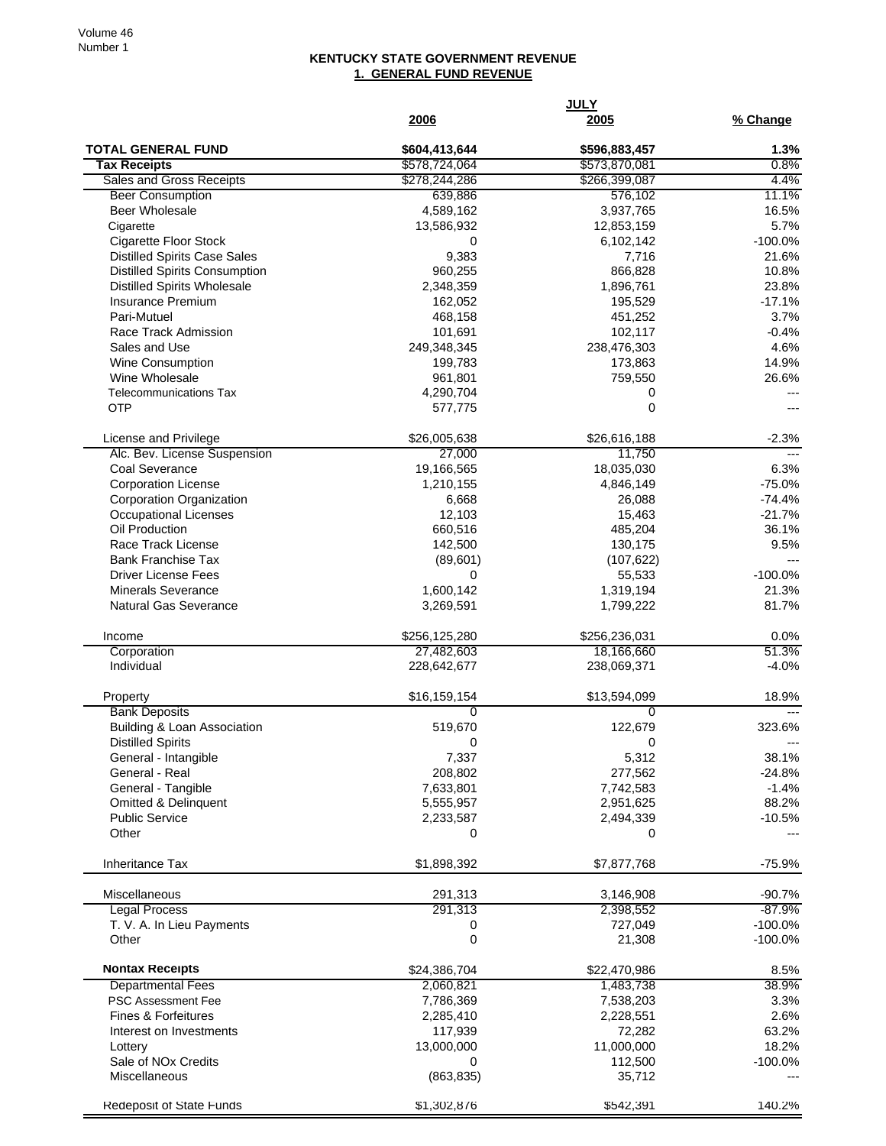## **KENTUCKY STATE GOVERNMENT REVENUE 1. GENERAL FUND REVENUE**

|                                                     | 2006                      | <u>2005</u>          | % Change       |
|-----------------------------------------------------|---------------------------|----------------------|----------------|
| <b>TOTAL GENERAL FUND</b>                           | \$604,413,644             | \$596,883,457        | 1.3%           |
| <b>Tax Receipts</b>                                 | \$578,724,064             | \$573,870,081        | 0.8%           |
| Sales and Gross Receipts                            | \$278,244,286             | \$266,399,087        | 4.4%           |
| <b>Beer Consumption</b><br>Beer Wholesale           | 639,886                   | 576,102<br>3,937,765 | 11.1%<br>16.5% |
| Cigarette                                           | 4,589,162<br>13,586,932   | 12,853,159           | 5.7%           |
| <b>Cigarette Floor Stock</b>                        | 0                         | 6,102,142            | $-100.0%$      |
| <b>Distilled Spirits Case Sales</b>                 | 9,383                     | 7,716                | 21.6%          |
| <b>Distilled Spirits Consumption</b>                | 960,255                   | 866,828              | 10.8%          |
| <b>Distilled Spirits Wholesale</b>                  | 2,348,359                 | 1,896,761            | 23.8%          |
| <b>Insurance Premium</b>                            | 162,052                   | 195,529              | $-17.1%$       |
| Pari-Mutuel                                         | 468,158                   | 451,252              | 3.7%           |
| Race Track Admission                                | 101,691                   | 102,117              | $-0.4%$        |
| Sales and Use                                       | 249,348,345               | 238,476,303          | 4.6%           |
| Wine Consumption                                    | 199,783                   | 173,863              | 14.9%          |
| Wine Wholesale                                      | 961,801                   | 759,550              | 26.6%          |
| <b>Telecommunications Tax</b>                       | 4,290,704                 | 0                    |                |
| <b>OTP</b>                                          | 577,775                   | 0                    |                |
| License and Privilege                               | \$26,005,638              | \$26,616,188         | $-2.3%$        |
| Alc. Bev. License Suspension                        | 27,000                    | 11,750               |                |
| Coal Severance                                      | 19,166,565                | 18,035,030           | 6.3%           |
| <b>Corporation License</b>                          | 1,210,155                 | 4,846,149            | $-75.0%$       |
| Corporation Organization                            | 6,668                     | 26,088               | $-74.4%$       |
| Occupational Licenses                               | 12,103                    | 15,463               | $-21.7%$       |
| Oil Production                                      | 660,516                   | 485,204              | 36.1%          |
| Race Track License                                  | 142,500                   | 130,175              | 9.5%           |
| <b>Bank Franchise Tax</b>                           | (89, 601)                 | (107, 622)           |                |
| <b>Driver License Fees</b>                          | 0                         | 55,533               | $-100.0%$      |
| <b>Minerals Severance</b>                           | 1,600,142                 | 1,319,194            | 21.3%          |
| <b>Natural Gas Severance</b>                        | 3,269,591                 | 1,799,222            | 81.7%          |
| Income                                              | \$256,125,280             | \$256,236,031        | 0.0%           |
| Corporation                                         | 27,482,603                | 18,166,660           | 51.3%          |
| Individual                                          | 228,642,677               | 238,069,371          | $-4.0%$        |
| Property                                            | \$16,159,154              | \$13,594,099         | 18.9%          |
| <b>Bank Deposits</b><br>Building & Loan Association | $\overline{0}$<br>519,670 | 0<br>122,679         | 323.6%         |
| <b>Distilled Spirits</b>                            | 0                         | 0                    |                |
| General - Intangible                                | 7,337                     | 5,312                | 38.1%          |
| General - Real                                      | 208,802                   | 277,562              | $-24.8%$       |
| General - Tangible                                  | 7,633,801                 | 7,742,583            | $-1.4%$        |
| Omitted & Delinquent                                | 5,555,957                 | 2,951,625            | 88.2%          |
| <b>Public Service</b>                               | 2,233,587                 | 2,494,339            | $-10.5%$       |
| Other                                               | 0                         | 0                    |                |
| <b>Inheritance Tax</b>                              | \$1,898,392               | \$7,877,768          | $-75.9%$       |
| Miscellaneous                                       | 291,313                   | 3,146,908            | $-90.7%$       |
| <b>Legal Process</b>                                | 291,313                   | 2,398,552            | $-87.9%$       |
| T. V. A. In Lieu Payments                           | 0                         | 727,049              | $-100.0%$      |
| Other                                               | 0                         | 21,308               | $-100.0\%$     |
| <b>Nontax Receipts</b>                              | \$24,386,704              | \$22,470,986         | 8.5%           |
| <b>Departmental Fees</b>                            | 2,060,821                 | 1,483,738            | 38.9%          |
| PSC Assessment Fee                                  | 7,786,369                 | 7,538,203            | 3.3%           |
| <b>Fines &amp; Forfeitures</b>                      | 2,285,410                 | 2,228,551            | 2.6%           |
| Interest on Investments                             | 117,939                   | 72,282               | 63.2%          |
| Lottery                                             | 13,000,000                | 11,000,000           | 18.2%          |
| Sale of NO <sub>x</sub> Credits                     | 0                         | 112,500              | $-100.0\%$     |
| Miscellaneous                                       | (863, 835)                | 35,712               |                |
| Redeposit of State Funds                            | \$1,302,876               | \$542,391            | 140.2%         |